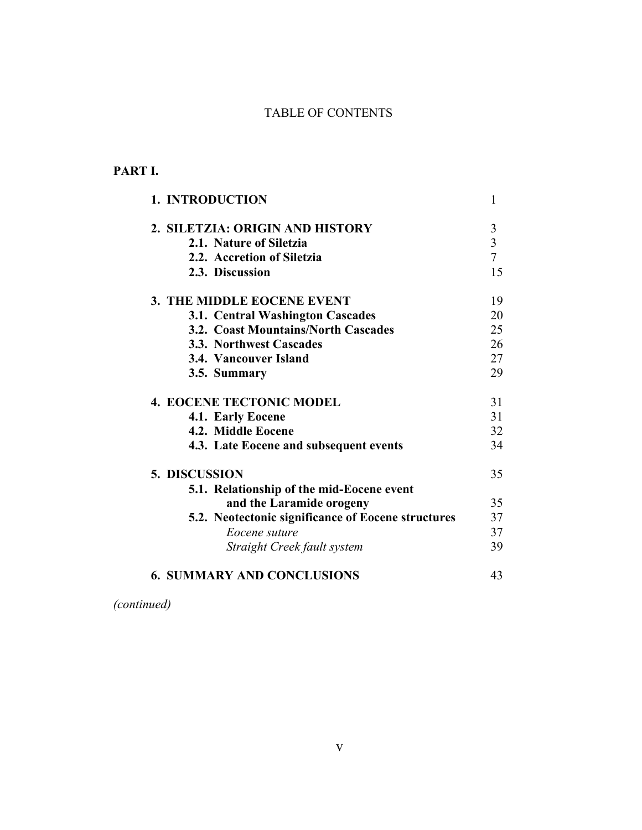## TABLE OF CONTENTS

## **PART I.**

| 1. INTRODUCTION                                    |   |
|----------------------------------------------------|---|
| 2. SILETZIA: ORIGIN AND HISTORY                    | 3 |
| 2.1. Nature of Siletzia                            |   |
| 2.2. Accretion of Siletzia                         |   |
| 2.3. Discussion                                    |   |
| 3. THE MIDDLE EOCENE EVENT                         |   |
| <b>3.1. Central Washington Cascades</b>            |   |
| 3.2. Coast Mountains/North Cascades                |   |
| <b>3.3. Northwest Cascades</b>                     |   |
| 3.4. Vancouver Island                              |   |
| 3.5. Summary                                       |   |
| <b>4. EOCENE TECTONIC MODEL</b>                    |   |
| 4.1. Early Eocene                                  |   |
| 4.2. Middle Eocene                                 |   |
| 4.3. Late Eocene and subsequent events             |   |
| 5. DISCUSSION                                      |   |
| 5.1. Relationship of the mid-Eocene event          |   |
| and the Laramide orogeny                           |   |
| 5.2. Neotectonic significance of Eocene structures |   |
| Eocene suture                                      |   |
| Straight Creek fault system                        |   |
| <b>6. SUMMARY AND CONCLUSIONS</b>                  |   |
|                                                    |   |

*(continued)*